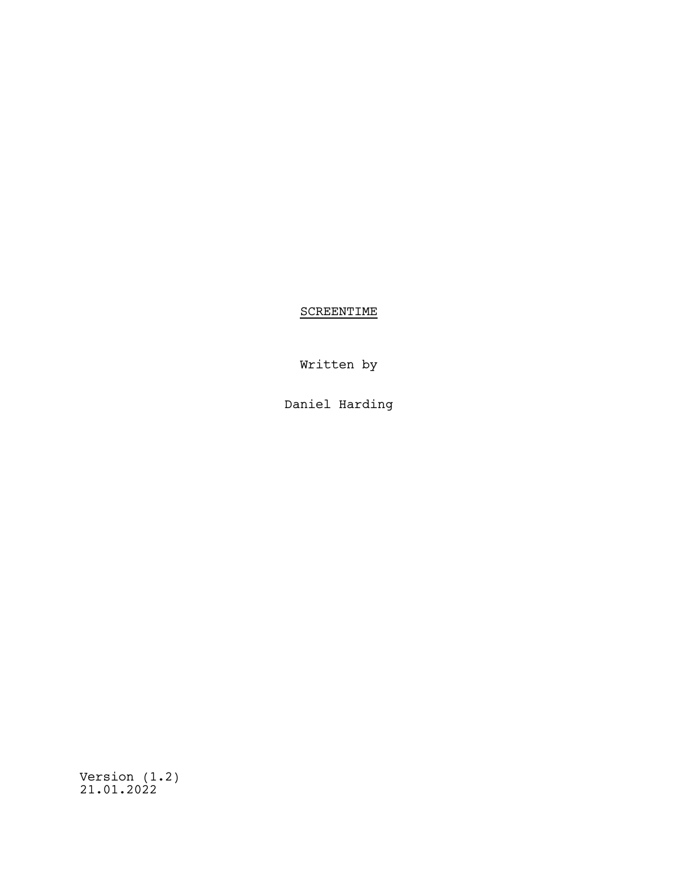**SCREENTIME** 

Written by

Daniel Harding

Version (1.2) 21.01.2022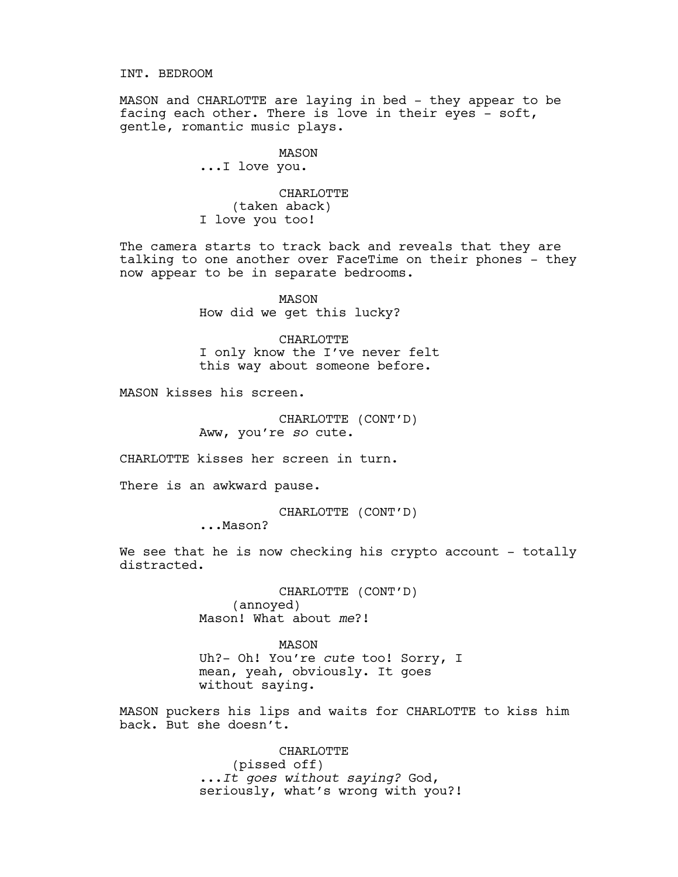INT. BEDROOM

MASON and CHARLOTTE are laying in bed - they appear to be facing each other. There is love in their eyes - soft, gentle, romantic music plays.

> MASON ...I love you.

CHARLOTTE (taken aback) I love you too!

The camera starts to track back and reveals that they are talking to one another over FaceTime on their phones - they now appear to be in separate bedrooms.

> MASON How did we get this lucky?

CHARLOTTE I only know the I've never felt this way about someone before.

MASON kisses his screen.

CHARLOTTE (CONT'D) Aww, you're *so* cute.

CHARLOTTE kisses her screen in turn.

There is an awkward pause.

CHARLOTTE (CONT'D)<br>Mason?

We see that he is now checking his crypto account - totally distracted.

> CHARLOTTE (CONT'D) (annoyed) Mason! What about *me*?!

MASON Uh?- Oh! You're *cute* too! Sorry, I mean, yeah, obviously. It goes without saying.

MASON puckers his lips and waits for CHARLOTTE to kiss him back. But she doesn't.

> CHARLOTTE (pissed off) ...*It goes without saying?* God, seriously, what's wrong with you?!